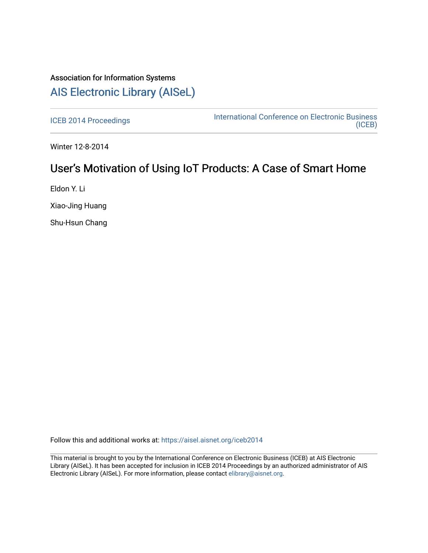## Association for Information Systems [AIS Electronic Library \(AISeL\)](https://aisel.aisnet.org/)

[ICEB 2014 Proceedings](https://aisel.aisnet.org/iceb2014) **International Conference on Electronic Business** [\(ICEB\)](https://aisel.aisnet.org/iceb) 

Winter 12-8-2014

## User's Motivation of Using IoT Products: A Case of Smart Home

Eldon Y. Li

Xiao-Jing Huang

Shu-Hsun Chang

Follow this and additional works at: [https://aisel.aisnet.org/iceb2014](https://aisel.aisnet.org/iceb2014?utm_source=aisel.aisnet.org%2Ficeb2014%2F8&utm_medium=PDF&utm_campaign=PDFCoverPages)

This material is brought to you by the International Conference on Electronic Business (ICEB) at AIS Electronic Library (AISeL). It has been accepted for inclusion in ICEB 2014 Proceedings by an authorized administrator of AIS Electronic Library (AISeL). For more information, please contact [elibrary@aisnet.org.](mailto:elibrary@aisnet.org%3E)